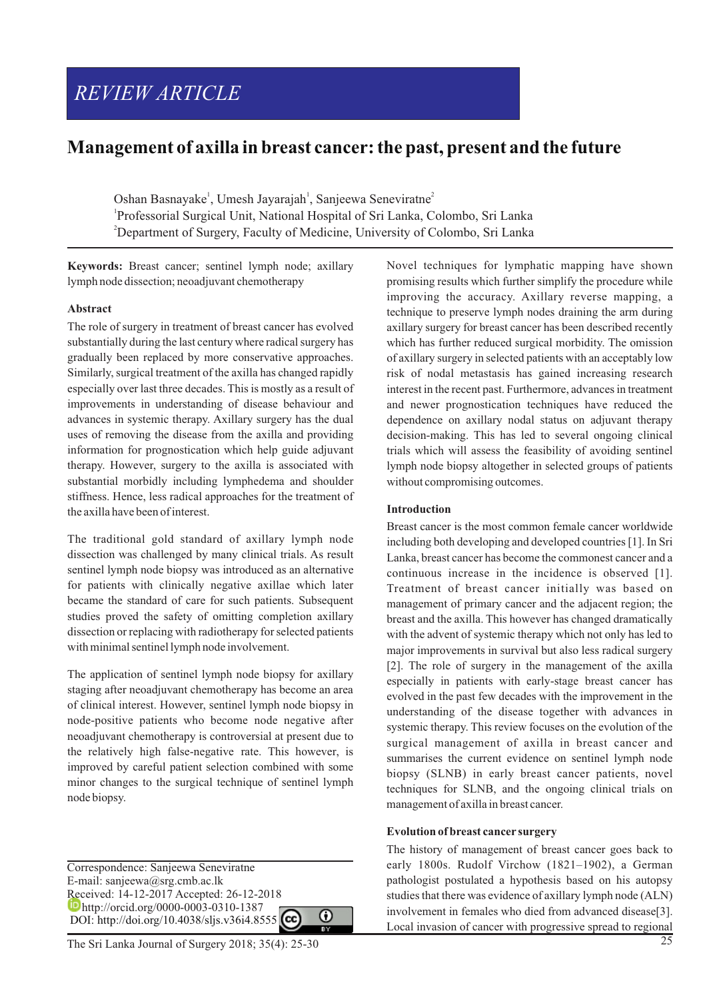# *REVIEW ARTICLE*

# **Management of axilla in breast cancer: the past, present and the future**

Oshan Basnayake<sup>1</sup>, Umesh Jayarajah<sup>1</sup>, Sanjeewa Seneviratne<sup>2</sup> 1 Professorial Surgical Unit, National Hospital of Sri Lanka, Colombo, Sri Lanka <sup>2</sup>Department of Surgery, Faculty of Medicine, University of Colombo, Sri Lanka

**Keywords:** Breast cancer; sentinel lymph node; axillary lymph node dissection; neoadjuvant chemotherapy

#### **Abstract**

The role of surgery in treatment of breast cancer has evolved substantially during the last century where radical surgery has gradually been replaced by more conservative approaches. Similarly, surgical treatment of the axilla has changed rapidly especially over last three decades. This is mostly as a result of improvements in understanding of disease behaviour and advances in systemic therapy. Axillary surgery has the dual uses of removing the disease from the axilla and providing information for prognostication which help guide adjuvant therapy. However, surgery to the axilla is associated with substantial morbidly including lymphedema and shoulder stiffness. Hence, less radical approaches for the treatment of the axilla have been of interest.

The traditional gold standard of axillary lymph node dissection was challenged by many clinical trials. As result sentinel lymph node biopsy was introduced as an alternative for patients with clinically negative axillae which later became the standard of care for such patients. Subsequent studies proved the safety of omitting completion axillary dissection or replacing with radiotherapy for selected patients with minimal sentinel lymph node involvement.

The application of sentinel lymph node biopsy for axillary staging after neoadjuvant chemotherapy has become an area of clinical interest. However, sentinel lymph node biopsy in node-positive patients who become node negative after neoadjuvant chemotherapy is controversial at present due to the relatively high false-negative rate. This however, is improved by careful patient selection combined with some minor changes to the surgical technique of sentinel lymph node biopsy.

Correspondence: Sanjeewa Seneviratne E-mail: sanjeewa@srg.cmb.ac.lk Received: 14-12-2017 Accepted: 26-12-2018 **http://orcid.org/0000-0003-0310-1387** ⋒ DOI:http://doi.org/10.4038/sljs.v36i4.8555

Novel techniques for lymphatic mapping have shown promising results which further simplify the procedure while improving the accuracy. Axillary reverse mapping, a technique to preserve lymph nodes draining the arm during axillary surgery for breast cancer has been described recently which has further reduced surgical morbidity. The omission of axillary surgery in selected patients with an acceptably low risk of nodal metastasis has gained increasing research interest in the recent past. Furthermore, advances in treatment and newer prognostication techniques have reduced the dependence on axillary nodal status on adjuvant therapy decision-making. This has led to several ongoing clinical trials which will assess the feasibility of avoiding sentinel lymph node biopsy altogether in selected groups of patients without compromising outcomes.

#### **Introduction**

Breast cancer is the most common female cancer worldwide including both developing and developed countries [1]. In Sri Lanka, breast cancer has become the commonest cancer and a continuous increase in the incidence is observed [1]. Treatment of breast cancer initially was based on management of primary cancer and the adjacent region; the breast and the axilla. This however has changed dramatically with the advent of systemic therapy which not only has led to major improvements in survival but also less radical surgery [2]. The role of surgery in the management of the axilla especially in patients with early-stage breast cancer has evolved in the past few decades with the improvement in the understanding of the disease together with advances in systemic therapy. This review focuses on the evolution of the surgical management of axilla in breast cancer and summarises the current evidence on sentinel lymph node biopsy (SLNB) in early breast cancer patients, novel techniques for SLNB, and the ongoing clinical trials on management of axilla in breast cancer.

#### **Evolution of breast cancer surgery**

The history of management of breast cancer goes back to early 1800s. Rudolf Virchow (1821–1902), a German pathologist postulated a hypothesis based on his autopsy studies that there was evidence of axillary lymph node (ALN) involvement in females who died from advanced disease[3]. Local invasion of cancer with progressive spread to regional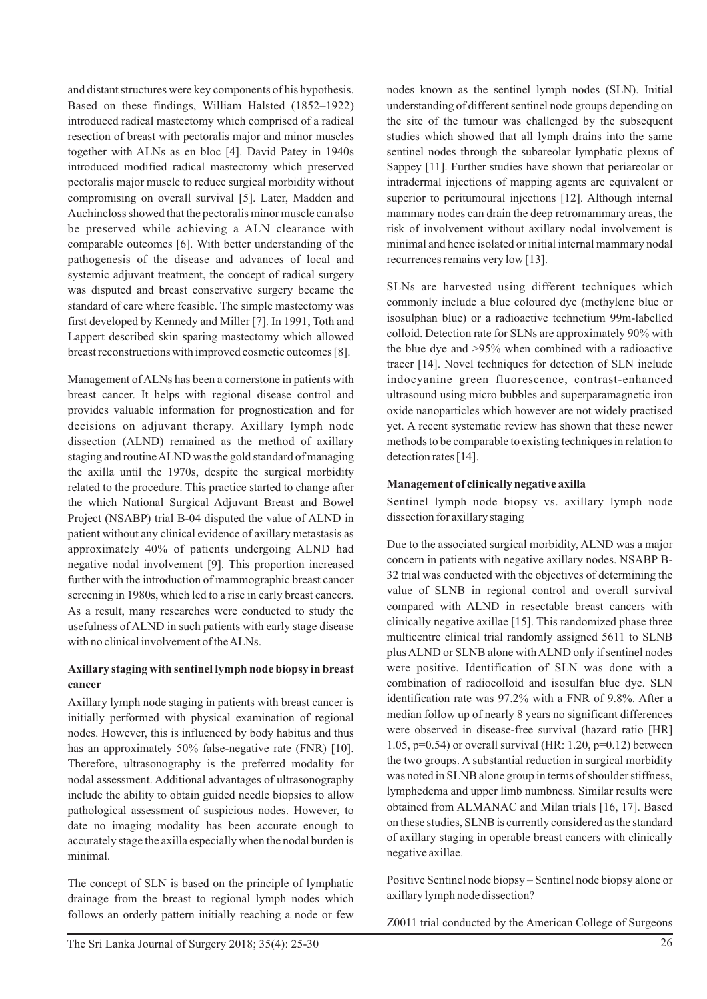and distant structures were key components of his hypothesis. Based on these findings, William Halsted (1852–1922) introduced radical mastectomy which comprised of a radical resection of breast with pectoralis major and minor muscles together with ALNs as en bloc [4]. David Patey in 1940s introduced modified radical mastectomy which preserved pectoralis major muscle to reduce surgical morbidity without compromising on overall survival [5]. Later, Madden and Auchincloss showed that the pectoralis minor muscle can also be preserved while achieving a ALN clearance with comparable outcomes [6]. With better understanding of the pathogenesis of the disease and advances of local and systemic adjuvant treatment, the concept of radical surgery was disputed and breast conservative surgery became the standard of care where feasible. The simple mastectomy was first developed by Kennedy and Miller [7]. In 1991, Toth and Lappert described skin sparing mastectomy which allowed breast reconstructions with improved cosmetic outcomes [8].

Management of ALNs has been a cornerstone in patients with breast cancer. It helps with regional disease control and provides valuable information for prognostication and for decisions on adjuvant therapy. Axillary lymph node dissection (ALND) remained as the method of axillary staging and routine ALND was the gold standard of managing the axilla until the 1970s, despite the surgical morbidity related to the procedure. This practice started to change after the which National Surgical Adjuvant Breast and Bowel Project (NSABP) trial B-04 disputed the value of ALND in patient without any clinical evidence of axillary metastasis as approximately 40% of patients undergoing ALND had negative nodal involvement [9]. This proportion increased further with the introduction of mammographic breast cancer screening in 1980s, which led to a rise in early breast cancers. As a result, many researches were conducted to study the usefulness of ALND in such patients with early stage disease with no clinical involvement of the ALNs.

## **Axillary staging with sentinel lymph node biopsy in breast cancer**

Axillary lymph node staging in patients with breast cancer is initially performed with physical examination of regional nodes. However, this is influenced by body habitus and thus has an approximately 50% false-negative rate (FNR) [10]. Therefore, ultrasonography is the preferred modality for nodal assessment. Additional advantages of ultrasonography include the ability to obtain guided needle biopsies to allow pathological assessment of suspicious nodes. However, to date no imaging modality has been accurate enough to accurately stage the axilla especially when the nodal burden is minimal.

The concept of SLN is based on the principle of lymphatic drainage from the breast to regional lymph nodes which follows an orderly pattern initially reaching a node or few

nodes known as the sentinel lymph nodes (SLN). Initial understanding of different sentinel node groups depending on the site of the tumour was challenged by the subsequent studies which showed that all lymph drains into the same sentinel nodes through the subareolar lymphatic plexus of Sappey [11]. Further studies have shown that periareolar or intradermal injections of mapping agents are equivalent or superior to peritumoural injections [12]. Although internal mammary nodes can drain the deep retromammary areas, the risk of involvement without axillary nodal involvement is minimal and hence isolated or initial internal mammary nodal recurrences remains very low [13].

SLNs are harvested using different techniques which commonly include a blue coloured dye (methylene blue or isosulphan blue) or a radioactive technetium 99m-labelled colloid. Detection rate for SLNs are approximately 90% with the blue dye and >95% when combined with a radioactive tracer [14]. Novel techniques for detection of SLN include indocyanine green fluorescence, contrast-enhanced ultrasound using micro bubbles and superparamagnetic iron oxide nanoparticles which however are not widely practised yet. A recent systematic review has shown that these newer methods to be comparable to existing techniques in relation to detection rates [14].

#### **Management of clinically negative axilla**

Sentinel lymph node biopsy vs. axillary lymph node dissection for axillary staging

Due to the associated surgical morbidity, ALND was a major concern in patients with negative axillary nodes. NSABP B-32 trial was conducted with the objectives of determining the value of SLNB in regional control and overall survival compared with ALND in resectable breast cancers with clinically negative axillae [15]. This randomized phase three multicentre clinical trial randomly assigned 5611 to SLNB plus ALND or SLNB alone with ALND only if sentinel nodes were positive. Identification of SLN was done with a combination of radiocolloid and isosulfan blue dye. SLN identification rate was 97.2% with a FNR of 9.8%. After a median follow up of nearly 8 years no significant differences were observed in disease-free survival (hazard ratio [HR] 1.05,  $p=0.54$ ) or overall survival (HR: 1.20,  $p=0.12$ ) between the two groups. A substantial reduction in surgical morbidity was noted in SLNB alone group in terms of shoulder stiffness, lymphedema and upper limb numbness. Similar results were obtained from ALMANAC and Milan trials [16, 17]. Based on these studies, SLNB is currently considered as the standard of axillary staging in operable breast cancers with clinically negative axillae.

Positive Sentinel node biopsy – Sentinel node biopsy alone or axillary lymph node dissection?

Z0011 trial conducted by the American College of Surgeons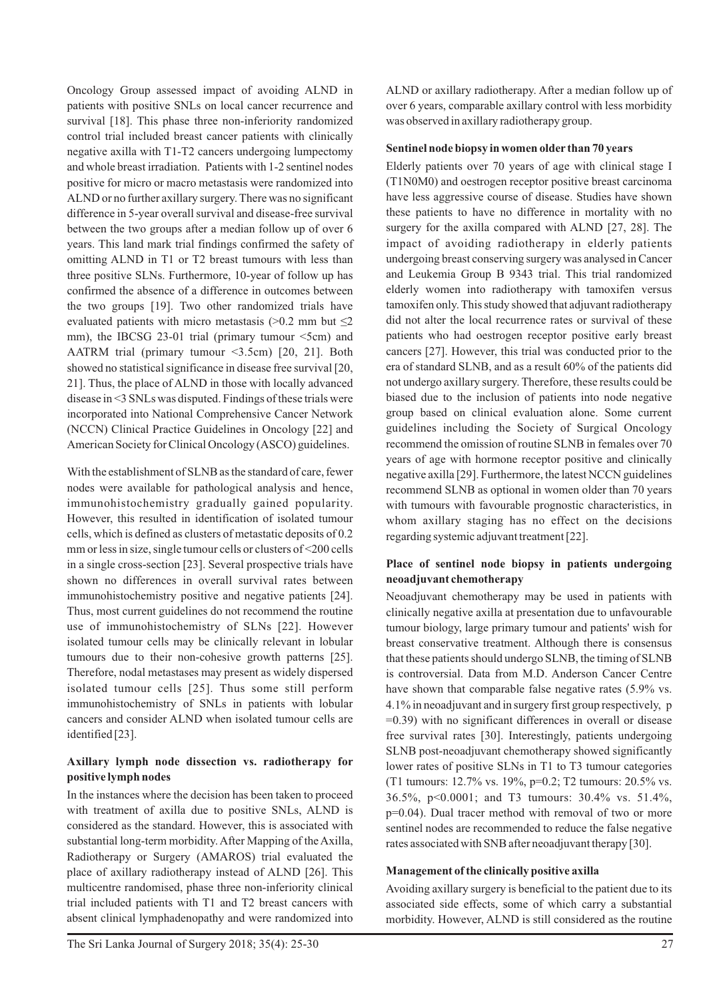*CASE STUDY* Oncology Group assessed impact of avoiding ALND in patients with positive SNLs on local cancer recurrence and survival [18]. This phase three non-inferiority randomized control trial included breast cancer patients with clinically negative axilla with T1-T2 cancers undergoing lumpectomy and whole breast irradiation. Patients with 1-2 sentinel nodes positive for micro or macro metastasis were randomized into ALND or no further axillary surgery. There was no significant difference in 5-year overall survival and disease-free survival between the two groups after a median follow up of over 6 years. This land mark trial findings confirmed the safety of omitting ALND in T1 or T2 breast tumours with less than three positive SLNs. Furthermore, 10-year of follow up has confirmed the absence of a difference in outcomes between the two groups [19]. Two other randomized trials have evaluated patients with micro metastasis ( $>0.2$  mm but  $\leq$ 2 mm), the IBCSG 23-01 trial (primary tumour  $\le$ 5cm) and AATRM trial (primary tumour <3.5cm) [20, 21]. Both showed no statistical significance in disease free survival [20, 21]. Thus, the place of ALND in those with locally advanced disease in <3 SNLs was disputed. Findings of these trials were incorporated into National Comprehensive Cancer Network (NCCN) Clinical Practice Guidelines in Oncology [22] and American Society for Clinical Oncology (ASCO) guidelines.

With the establishment of SLNB as the standard of care, fewer nodes were available for pathological analysis and hence, immunohistochemistry gradually gained popularity. However, this resulted in identification of isolated tumour cells, which is defined as clusters of metastatic deposits of 0.2 mm or less in size, single tumour cells or clusters of <200 cells in a single cross-section [23]. Several prospective trials have shown no differences in overall survival rates between immunohistochemistry positive and negative patients [24]. Thus, most current guidelines do not recommend the routine use of immunohistochemistry of SLNs [22]. However isolated tumour cells may be clinically relevant in lobular tumours due to their non-cohesive growth patterns [25]. Therefore, nodal metastases may present as widely dispersed isolated tumour cells [25]. Thus some still perform immunohistochemistry of SNLs in patients with lobular cancers and consider ALND when isolated tumour cells are identified [23].

#### **Axillary lymph node dissection vs. radiotherapy for positive lymph nodes**

In the instances where the decision has been taken to proceed with treatment of axilla due to positive SNLs, ALND is considered as the standard. However, this is associated with substantial long-term morbidity. After Mapping of the Axilla, Radiotherapy or Surgery (AMAROS) trial evaluated the place of axillary radiotherapy instead of ALND [26]. This multicentre randomised, phase three non-inferiority clinical trial included patients with T1 and T2 breast cancers with absent clinical lymphadenopathy and were randomized into

ALND or axillary radiotherapy. After a median follow up of over 6 years, comparable axillary control with less morbidity was observed in axillary radiotherapy group.

#### **Sentinel node biopsy in women older than 70 years**

Elderly patients over 70 years of age with clinical stage I (T1N0M0) and oestrogen receptor positive breast carcinoma have less aggressive course of disease. Studies have shown these patients to have no difference in mortality with no surgery for the axilla compared with ALND [27, 28]. The impact of avoiding radiotherapy in elderly patients undergoing breast conserving surgery was analysed in Cancer and Leukemia Group B 9343 trial. This trial randomized elderly women into radiotherapy with tamoxifen versus tamoxifen only. This study showed that adjuvant radiotherapy did not alter the local recurrence rates or survival of these patients who had oestrogen receptor positive early breast cancers [27]. However, this trial was conducted prior to the era of standard SLNB, and as a result 60% of the patients did not undergo axillary surgery. Therefore, these results could be biased due to the inclusion of patients into node negative group based on clinical evaluation alone. Some current guidelines including the Society of Surgical Oncology recommend the omission of routine SLNB in females over 70 years of age with hormone receptor positive and clinically negative axilla [29]. Furthermore, the latest NCCN guidelines recommend SLNB as optional in women older than 70 years with tumours with favourable prognostic characteristics, in whom axillary staging has no effect on the decisions regarding systemic adjuvant treatment [22].

## **Place of sentinel node biopsy in patients undergoing neoadjuvant chemotherapy**

Neoadjuvant chemotherapy may be used in patients with clinically negative axilla at presentation due to unfavourable tumour biology, large primary tumour and patients' wish for breast conservative treatment. Although there is consensus that these patients should undergo SLNB, the timing of SLNB is controversial. Data from M.D. Anderson Cancer Centre have shown that comparable false negative rates (5.9% vs. 4.1% in neoadjuvant and in surgery first group respectively, p =0.39) with no significant differences in overall or disease free survival rates [30]. Interestingly, patients undergoing SLNB post-neoadjuvant chemotherapy showed significantly lower rates of positive SLNs in T1 to T3 tumour categories (T1 tumours: 12.7% vs. 19%, p=0.2; T2 tumours: 20.5% vs. 36.5%, p<0.0001; and T3 tumours: 30.4% vs. 51.4%, p=0.04). Dual tracer method with removal of two or more sentinel nodes are recommended to reduce the false negative rates associated with SNB after neoadjuvant therapy [30].

#### **Management of the clinically positive axilla**

Avoiding axillary surgery is beneficial to the patient due to its associated side effects, some of which carry a substantial morbidity. However, ALND is still considered as the routine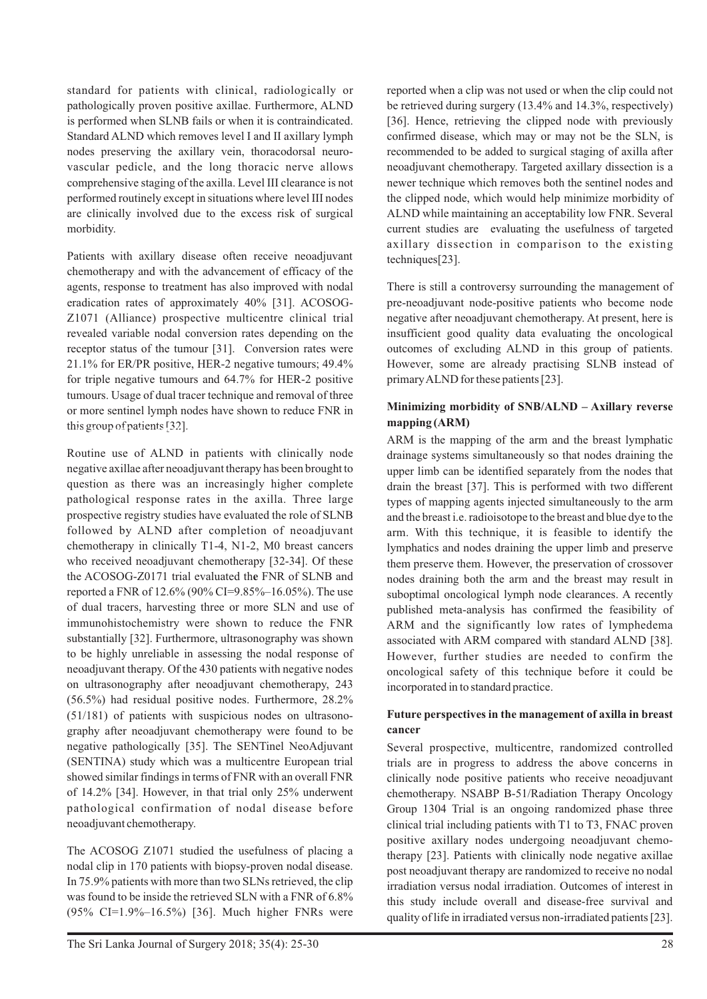standard for patients with clinical, radiologically or pathologically proven positive axillae. Furthermore, ALND is performed when SLNB fails or when it is contraindicated. Standard ALND which removes level I and II axillary lymph nodes preserving the axillary vein, thoracodorsal neurovascular pedicle, and the long thoracic nerve allows comprehensive staging of the axilla. Level III clearance is not performed routinely except in situations where level III nodes are clinically involved due to the excess risk of surgical morbidity.

Patients with axillary disease often receive neoadjuvant chemotherapy and with the advancement of efficacy of the agents, response to treatment has also improved with nodal eradication rates of approximately 40% [31]. ACOSOG-Z1071 (Alliance) prospective multicentre clinical trial revealed variable nodal conversion rates depending on the receptor status of the tumour [31]. Conversion rates were 21.1% for ER/PR positive, HER-2 negative tumours; 49.4% for triple negative tumours and 64.7% for HER-2 positive tumours. Usage of dual tracer technique and removal of three or more sentinel lymph nodes have shown to reduce FNR in this group of patients [32].

Routine use of ALND in patients with clinically node negative axillae after neoadjuvant therapy has been brought to question as there was an increasingly higher complete pathological response rates in the axilla. Three large prospective registry studies have evaluated the role of SLNB followed by ALND after completion of neoadjuvant chemotherapy in clinically T1-4, N1-2, M0 breast cancers who received neoadjuvant chemotherapy [32-34]. Of these the ACOSOG-Z0171 trial evaluated th**e** FNR of SLNB and reported a FNR of 12.6% (90% CI=9.85%–16.05%). The use of dual tracers, harvesting three or more SLN and use of immunohistochemistry were shown to reduce the FNR substantially [32]. Furthermore, ultrasonography was shown to be highly unreliable in assessing the nodal response of neoadjuvant therapy. Of the 430 patients with negative nodes on ultrasonography after neoadjuvant chemotherapy, 243 (56.5%) had residual positive nodes. Furthermore, 28.2% (51/181) of patients with suspicious nodes on ultrasonography after neoadjuvant chemotherapy were found to be negative pathologically [35]. The SENTinel NeoAdjuvant (SENTINA) study which was a multicentre European trial showed similar findings in terms of FNR with an overall FNR of 14.2% [34]. However, in that trial only 25% underwent pathological confirmation of nodal disease before neoadjuvant chemotherapy.

The ACOSOG Z1071 studied the usefulness of placing a nodal clip in 170 patients with biopsy-proven nodal disease. In 75.9% patients with more than two SLNs retrieved, the clip was found to be inside the retrieved SLN with a FNR of 6.8% (95% CI=1.9%–16.5%) [36]. Much higher FNRs were

reported when a clip was not used or when the clip could not be retrieved during surgery (13.4% and 14.3%, respectively) [36]. Hence, retrieving the clipped node with previously confirmed disease, which may or may not be the SLN, is recommended to be added to surgical staging of axilla after neoadjuvant chemotherapy. Targeted axillary dissection is a newer technique which removes both the sentinel nodes and the clipped node, which would help minimize morbidity of ALND while maintaining an acceptability low FNR. Several current studies are evaluating the usefulness of targeted axillary dissection in comparison to the existing techniques[23].

There is still a controversy surrounding the management of pre-neoadjuvant node-positive patients who become node negative after neoadjuvant chemotherapy. At present, here is insufficient good quality data evaluating the oncological outcomes of excluding ALND in this group of patients. However, some are already practising SLNB instead of primary ALND for these patients [23].

#### **Minimizing morbidity of SNB/ALND – Axillary reverse mapping (ARM)**

ARM is the mapping of the arm and the breast lymphatic drainage systems simultaneously so that nodes draining the upper limb can be identified separately from the nodes that drain the breast [37]. This is performed with two different types of mapping agents injected simultaneously to the arm and the breast i.e. radioisotope to the breast and blue dye to the arm. With this technique, it is feasible to identify the lymphatics and nodes draining the upper limb and preserve them preserve them. However, the preservation of crossover nodes draining both the arm and the breast may result in suboptimal oncological lymph node clearances. A recently published meta-analysis has confirmed the feasibility of ARM and the significantly low rates of lymphedema associated with ARM compared with standard ALND [38]. However, further studies are needed to confirm the oncological safety of this technique before it could be incorporated in to standard practice.

## **Future perspectives in the management of axilla in breast cancer**

Several prospective, multicentre, randomized controlled trials are in progress to address the above concerns in clinically node positive patients who receive neoadjuvant chemotherapy. NSABP B-51/Radiation Therapy Oncology Group 1304 Trial is an ongoing randomized phase three clinical trial including patients with T1 to T3, FNAC proven positive axillary nodes undergoing neoadjuvant chemotherapy [23]. Patients with clinically node negative axillae post neoadjuvant therapy are randomized to receive no nodal irradiation versus nodal irradiation. Outcomes of interest in this study include overall and disease-free survival and quality of life in irradiated versus non-irradiated patients [23].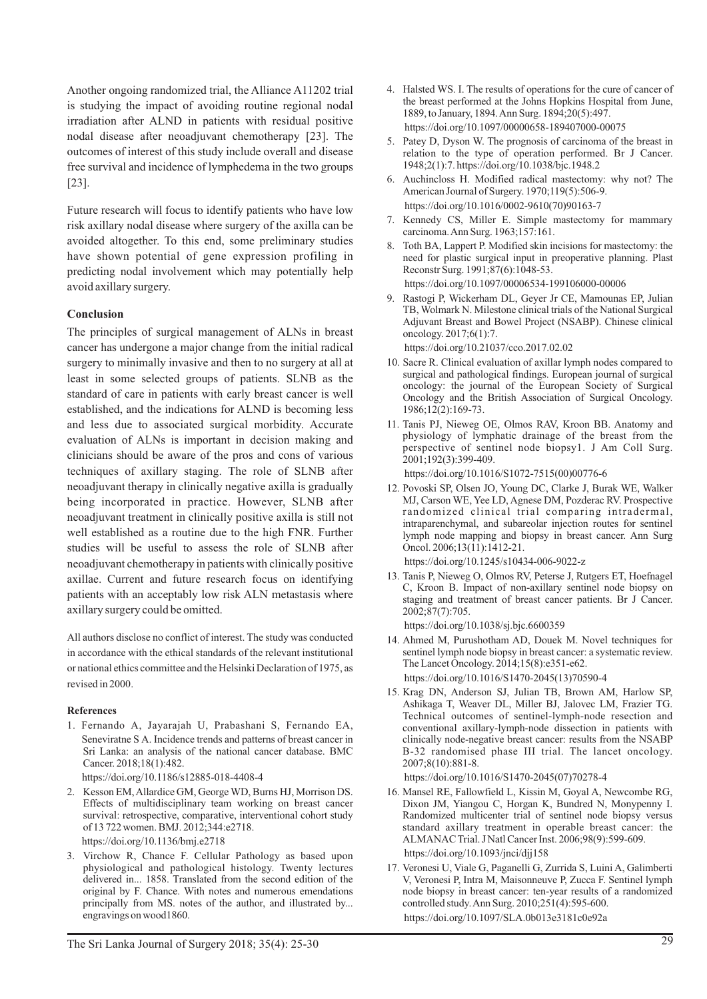Another ongoing randomized trial, the Alliance A11202 trial is studying the impact of avoiding routine regional nodal irradiation after ALND in patients with residual positive nodal disease after neoadjuvant chemotherapy [23]. The outcomes of interest of this study include overall and disease free survival and incidence of lymphedema in the two groups [23].

Future research will focus to identify patients who have low risk axillary nodal disease where surgery of the axilla can be avoided altogether. To this end, some preliminary studies have shown potential of gene expression profiling in predicting nodal involvement which may potentially help avoid axillary surgery.

#### **Conclusion**

The principles of surgical management of ALNs in breast cancer has undergone a major change from the initial radical surgery to minimally invasive and then to no surgery at all at least in some selected groups of patients. SLNB as the standard of care in patients with early breast cancer is well established, and the indications for ALND is becoming less and less due to associated surgical morbidity. Accurate evaluation of ALNs is important in decision making and clinicians should be aware of the pros and cons of various techniques of axillary staging. The role of SLNB after neoadjuvant therapy in clinically negative axilla is gradually being incorporated in practice. However, SLNB after neoadjuvant treatment in clinically positive axilla is still not well established as a routine due to the high FNR. Further studies will be useful to assess the role of SLNB after neoadjuvant chemotherapy in patients with clinically positive axillae. Current and future research focus on identifying patients with an acceptably low risk ALN metastasis where axillary surgery could be omitted.

All authors disclose no conflict of interest. The study was conducted in accordance with the ethical standards of the relevant institutional or national ethics committee and the Helsinki Declaration of 1975, as revised in 2000.

#### **References**

- 1. Fernando A, Jayarajah U, Prabashani S, Fernando EA, Seneviratne S A. Incidence trends and patterns of breast cancer in Sri Lanka: an analysis of the national cancer database. BMC Cancer. 2018;18(1):482.
	- https://doi.org/10.1186/s12885-018-4408-4
- 2. Kesson EM, Allardice GM, George WD, Burns HJ, Morrison DS. Effects of multidisciplinary team working on breast cancer survival: retrospective, comparative, interventional cohort study of 13 722 women. BMJ. 2012;344:e2718. https://doi.org/10.1136/bmj.e2718
- 3. Virchow R, Chance F. Cellular Pathology as based upon physiological and pathological histology. Twenty lectures delivered in... 1858. Translated from the second edition of the original by F. Chance. With notes and numerous emendations principally from MS. notes of the author, and illustrated by... engravings on wood1860.
- 4. Halsted WS. I. The results of operations for the cure of cancer of the breast performed at the Johns Hopkins Hospital from June, 1889, to January, 1894. Ann Surg. 1894;20(5):497. https://doi.org/10.1097/00000658-189407000-00075
- 5. Patey D, Dyson W. The prognosis of carcinoma of the breast in relation to the type of operation performed. Br J Cancer. 1948;2(1):7. https://doi.org/10.1038/bjc.1948.2
- 6. Auchincloss H. Modified radical mastectomy: why not? The American Journal of Surgery. 1970;119(5):506-9. https://doi.org/10.1016/0002-9610(70)90163-7
- 7. Kennedy CS, Miller E. Simple mastectomy for mammary carcinoma. Ann Surg. 1963;157:161.
- 8. Toth BA, Lappert P. Modified skin incisions for mastectomy: the need for plastic surgical input in preoperative planning. Plast Reconstr Surg. 1991;87(6):1048-53. https://doi.org/10.1097/00006534-199106000-00006
- 9. Rastogi P, Wickerham DL, Geyer Jr CE, Mamounas EP, Julian TB, Wolmark N. Milestone clinical trials of the National Surgical Adjuvant Breast and Bowel Project (NSABP). Chinese clinical oncology. 2017;6(1):7.

https://doi.org/10.21037/cco.2017.02.02

- 10. Sacre R. Clinical evaluation of axillar lymph nodes compared to surgical and pathological findings. European journal of surgical oncology: the journal of the European Society of Surgical Oncology and the British Association of Surgical Oncology. 1986;12(2):169-73.
- 11. Tanis PJ, Nieweg OE, Olmos RAV, Kroon BB. Anatomy and physiology of lymphatic drainage of the breast from the perspective of sentinel node biopsy1. J Am Coll Surg. 2001;192(3):399-409.

https://doi.org/10.1016/S1072-7515(00)00776-6

12. Povoski SP, Olsen JO, Young DC, Clarke J, Burak WE, Walker MJ, Carson WE, Yee LD, Agnese DM, Pozderac RV. Prospective randomized clinical trial comparing intradermal, intraparenchymal, and subareolar injection routes for sentinel lymph node mapping and biopsy in breast cancer. Ann Surg Oncol. 2006;13(11):1412-21.

https://doi.org/10.1245/s10434-006-9022-z

13. Tanis P, Nieweg O, Olmos RV, Peterse J, Rutgers ET, Hoefnagel C, Kroon B. Impact of non-axillary sentinel node biopsy on staging and treatment of breast cancer patients. Br J Cancer. 2002;87(7):705.

https://doi.org/10.1038/sj.bjc.6600359

- 14. Ahmed M, Purushotham AD, Douek M. Novel techniques for sentinel lymph node biopsy in breast cancer: a systematic review. The Lancet Oncology. 2014;15(8):e351-e62. https://doi.org/10.1016/S1470-2045(13)70590-4
- 15. Krag DN, Anderson SJ, Julian TB, Brown AM, Harlow SP, Ashikaga T, Weaver DL, Miller BJ, Jalovec LM, Frazier TG. Technical outcomes of sentinel-lymph-node resection and conventional axillary-lymph-node dissection in patients with clinically node-negative breast cancer: results from the NSABP B-32 randomised phase III trial. The lancet oncology. 2007;8(10):881-8.

https://doi.org/10.1016/S1470-2045(07)70278-4

- 16. Mansel RE, Fallowfield L, Kissin M, Goyal A, Newcombe RG, Dixon JM, Yiangou C, Horgan K, Bundred N, Monypenny I. Randomized multicenter trial of sentinel node biopsy versus standard axillary treatment in operable breast cancer: the ALMANAC Trial. J Natl Cancer Inst. 2006;98(9):599-609. https://doi.org/10.1093/jnci/djj158
- 17. Veronesi U, Viale G, Paganelli G, Zurrida S, Luini A, Galimberti V, Veronesi P, Intra M, Maisonneuve P, Zucca F. Sentinel lymph node biopsy in breast cancer: ten-year results of a randomized controlled study. Ann Surg. 2010;251(4):595-600. https://doi.org/10.1097/SLA.0b013e3181c0e92a